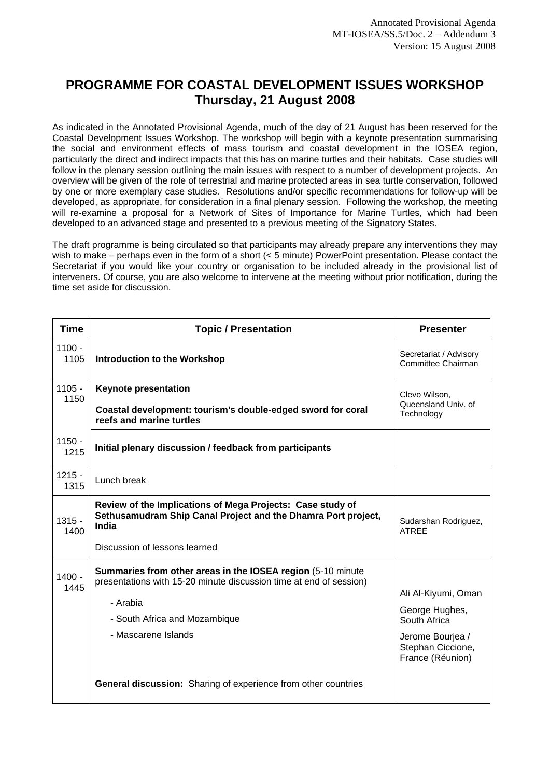## **PROGRAMME FOR COASTAL DEVELOPMENT ISSUES WORKSHOP Thursday, 21 August 2008**

As indicated in the Annotated Provisional Agenda, much of the day of 21 August has been reserved for the Coastal Development Issues Workshop. The workshop will begin with a keynote presentation summarising the social and environment effects of mass tourism and coastal development in the IOSEA region, particularly the direct and indirect impacts that this has on marine turtles and their habitats. Case studies will follow in the plenary session outlining the main issues with respect to a number of development projects. An overview will be given of the role of terrestrial and marine protected areas in sea turtle conservation, followed by one or more exemplary case studies. Resolutions and/or specific recommendations for follow-up will be developed, as appropriate, for consideration in a final plenary session. Following the workshop, the meeting will re-examine a proposal for a Network of Sites of Importance for Marine Turtles, which had been developed to an advanced stage and presented to a previous meeting of the Signatory States.

The draft programme is being circulated so that participants may already prepare any interventions they may wish to make – perhaps even in the form of a short (< 5 minute) PowerPoint presentation. Please contact the Secretariat if you would like your country or organisation to be included already in the provisional list of interveners. Of course, you are also welcome to intervene at the meeting without prior notification, during the time set aside for discussion.

| <b>Time</b>      | <b>Topic / Presentation</b>                                                                                                                                                                           | <b>Presenter</b>                                                                                                   |
|------------------|-------------------------------------------------------------------------------------------------------------------------------------------------------------------------------------------------------|--------------------------------------------------------------------------------------------------------------------|
| $1100 -$<br>1105 | <b>Introduction to the Workshop</b>                                                                                                                                                                   | Secretariat / Advisory<br>Committee Chairman                                                                       |
| $1105 -$<br>1150 | <b>Keynote presentation</b><br>Coastal development: tourism's double-edged sword for coral<br>reefs and marine turtles                                                                                | Clevo Wilson,<br>Queensland Univ. of<br>Technology                                                                 |
| $1150 -$<br>1215 | Initial plenary discussion / feedback from participants                                                                                                                                               |                                                                                                                    |
| $1215 -$<br>1315 | Lunch break                                                                                                                                                                                           |                                                                                                                    |
| $1315 -$<br>1400 | Review of the Implications of Mega Projects: Case study of<br>Sethusamudram Ship Canal Project and the Dhamra Port project,<br>India<br>Discussion of lessons learned                                 | Sudarshan Rodriguez,<br><b>ATREE</b>                                                                               |
| $1400 -$<br>1445 | Summaries from other areas in the IOSEA region (5-10 minute<br>presentations with 15-20 minute discussion time at end of session)<br>- Arabia<br>- South Africa and Mozambique<br>- Mascarene Islands | Ali Al-Kiyumi, Oman<br>George Hughes,<br>South Africa<br>Jerome Bourjea /<br>Stephan Ciccione,<br>France (Réunion) |
|                  | <b>General discussion:</b> Sharing of experience from other countries                                                                                                                                 |                                                                                                                    |